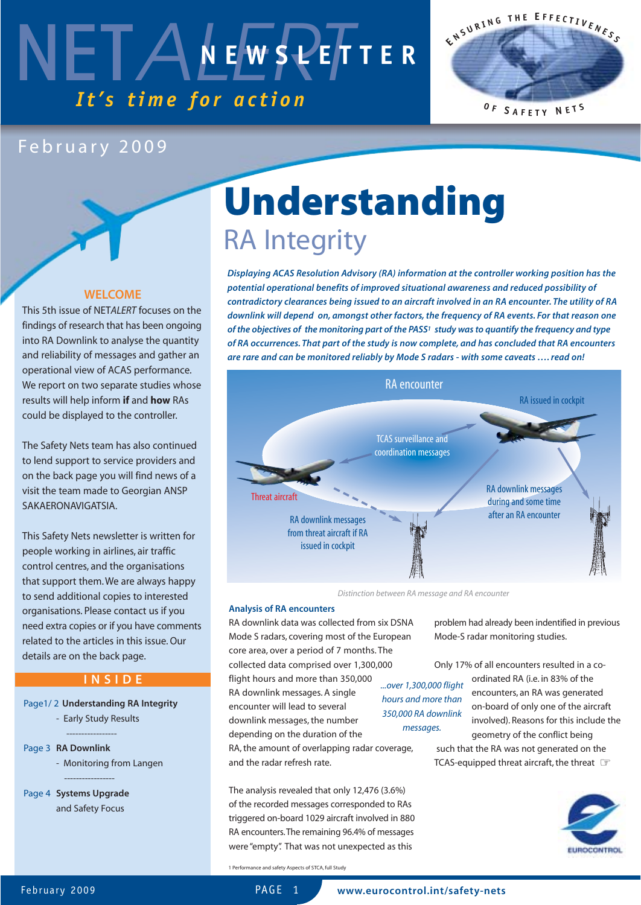



### February 2009

#### **WELCOME**

This 5th issue of NET*ALERT* focuses on the findings of research that has been ongoing into RA Downlink to analyse the quantity and reliability of messages and gather an operational view of ACAS performance. We report on two separate studies whose results will help inform **if** and **how** RAs could be displayed to the controller.

The Safety Nets team has also continued to lend support to service providers and on the back page you will find news of a visit the team made to Georgian ANSP SAKAERONAVIGATSIA.

This Safety Nets newsletter is written for people working in airlines, air traffic control centres, and the organisations that support them. We are always happy to send additional copies to interested organisations. Please contact us if you need extra copies or if you have comments related to the articles in this issue. Our details are on the back page.

### **INSIDE**

#### Page1/ 2 **Understanding RA Integrity**

- Early Study Results
- ----------------- Page 3 **RA Downlink**
	- Monitoring from Langen -----------------
- Page 4 **Systems Upgrade** and Safety Focus

# **Understanding**  RA Integrity

*Displaying ACAS Resolution Advisory (RA) information at the controller working position has the potential operational benefits of improved situational awareness and reduced possibility of contradictory clearances being issued to an aircraft involved in an RA encounter. The utility of RA downlink will depend on, amongst other factors, the frequency of RA events. For that reason one of the objectives of the monitoring part of the PASS1 study was to quantify the frequency and type of RA occurrences. That part of the study is now complete, and has concluded that RA encounters are rare and can be monitored reliably by Mode S radars - with some caveats …. read on!* 



*Distinction between RA message and RA encounter*

#### **Analysis of RA encounters**

RA downlink data was collected from six DSNA Mode S radars, covering most of the European core area, over a period of 7 months. The collected data comprised over 1,300,000 flight hours and more than 350,000 RA downlink messages. A single encounter will lead to several downlink messages, the number *...over 1,300,000 flight hours and more than 350,000 RA downlink*

depending on the duration of the RA, the amount of overlapping radar coverage, and the radar refresh rate. *messages.*

The analysis revealed that only 12,476 (3.6%) of the recorded messages corresponded to RAs triggered on-board 1029 aircraft involved in 880 RA encounters.The remaining 96.4% of messages were "empty". That was not unexpected as this

problem had already been indentified in previous Mode-S radar monitoring studies.

Only 17% of all encounters resulted in a coordinated RA (i.e. in 83% of the encounters, an RA was generated on-board of only one of the aircraft involved). Reasons for this include the geometry of the conflict being such that the RA was not generated on the TCAS-equipped threat aircraft, the threat ☞



1 Performance and safety Aspects of STCA, full Study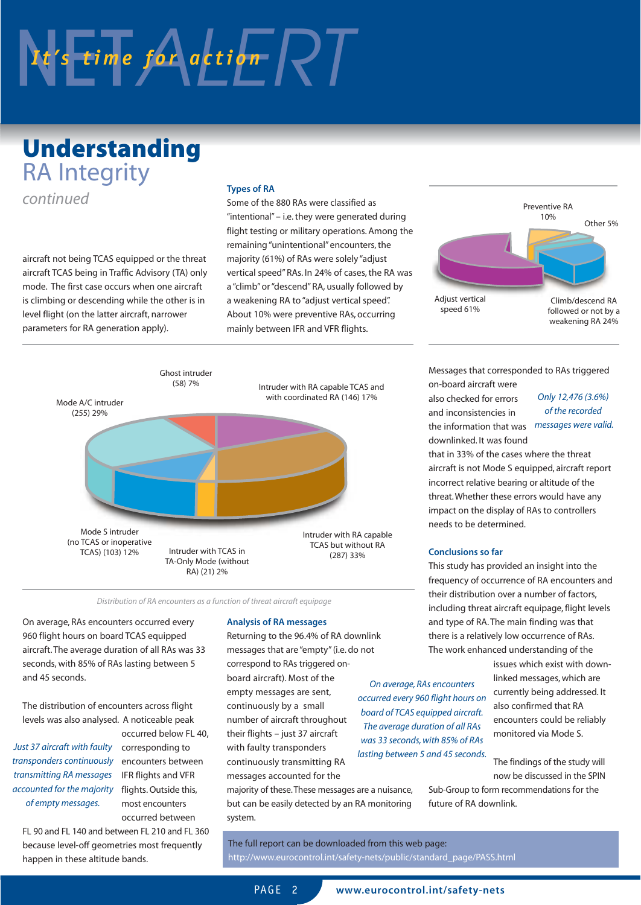# $N$   $t$ 's time for action  $\sqrt{2}$

## **Understanding**  RA Integrity *continued* **Types of RA**

aircraft not being TCAS equipped or the threat aircraft TCAS being in Traffic Advisory (TA) only mode. The first case occurs when one aircraft is climbing or descending while the other is in level flight (on the latter aircraft, narrower parameters for RA generation apply).

Some of the 880 RAs were classified as "intentional" – i.e. they were generated during flight testing or military operations. Among the remaining "unintentional" encounters, the majority (61%) of RAs were solely "adjust vertical speed" RAs. In 24% of cases, the RA was a "climb" or "descend" RA, usually followed by a weakening RA to "adjust vertical speed". About 10% were preventive RAs, occurring mainly between IFR and VFR flights.



*Distribution of RA encounters as a function of threat aircraft equipage*

On average, RAs encounters occurred every 960 flight hours on board TCAS equipped aircraft. The average duration of all RAs was 33 seconds, with 85% of RAs lasting between 5 and 45 seconds.

The distribution of encounters across flight levels was also analysed. A noticeable peak

accounted for the majority flights. Outside this, *transponders continuously transmitting RA messages of empty messages.*

occurred below FL 40, corresponding to encounters between IFR flights and VFR most encounters occurred between

FL 90 and FL 140 and between FL 210 and FL 360 because level-off geometries most frequently happen in these altitude bands.

#### **Analysis of RA messages**

Returning to the 96.4% of RA downlink messages that are "empty" (i.e. do not correspond to RAs triggered onboard aircraft). Most of the empty messages are sent, continuously by a small number of aircraft throughout their flights – just 37 aircraft with faulty transponders continuously transmitting RA messages accounted for the *lasting between 5 and 45 seconds. Just 37 aircraft with faulty*

majority of these.These messages are a nuisance, but can be easily detected by an RA monitoring system.

The full report can be downloaded from this web page: http://www.eurocontrol.int/safety-nets/public/standard\_page/PASS.html



Messages that corresponded to RAs triggered on-board aircraft were

also checked for errors and inconsistencies in the information that was *messages were valid.* downlinked. It was found

*Only 12,476 (3.6%) of the recorded*

that in 33% of the cases where the threat aircraft is not Mode S equipped, aircraft report incorrect relative bearing or altitude of the threat.Whether these errors would have any impact on the display of RAs to controllers needs to be determined.

#### **Conclusions so far**

This study has provided an insight into the frequency of occurrence of RA encounters and their distribution over a number of factors, including threat aircraft equipage, flight levels and type of RA. The main finding was that there is a relatively low occurrence of RAs. The work enhanced understanding of the

issues which exist with downlinked messages, which are currently being addressed. It also confirmed that RA encounters could be reliably monitored via Mode S. *occurred every 960 flight hours on board of TCAS equipped aircraft. was 33 seconds, with 85% of RAs*

> The findings of the study will now be discussed in the SPIN

Sub-Group to form recommendations for the future of RA downlink.

PAGF<sub>2</sub>

*On average, RAs encounters*

*The average duration of all RAs*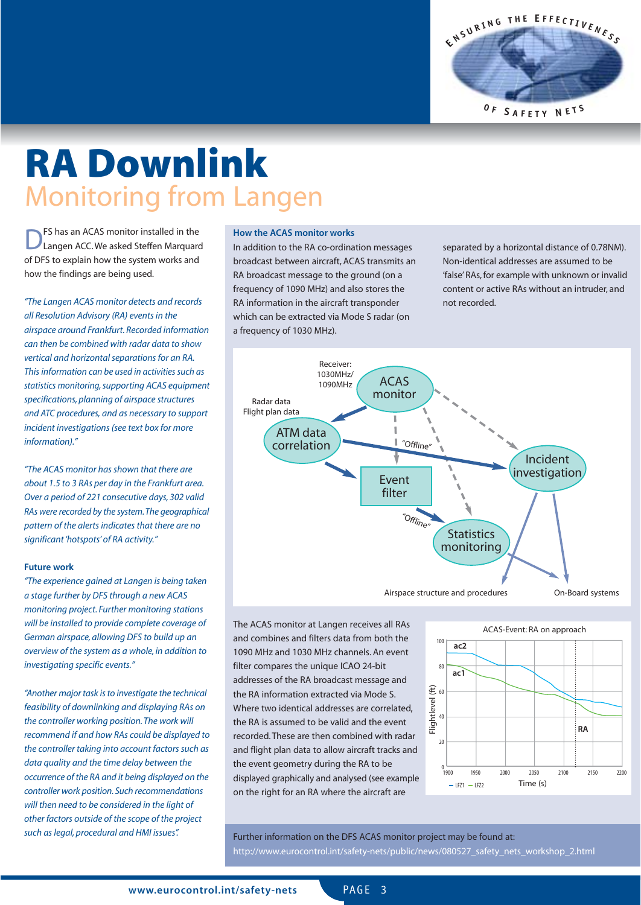**E <sup>N</sup> <sup>S</sup> <sup>U</sup> <sup>R</sup> <sup>I</sup> <sup>N</sup> <sup>G</sup> <sup>T</sup> <sup>H</sup> <sup>E</sup> <sup>E</sup> <sup>F</sup> <sup>F</sup> <sup>E</sup> <sup>C</sup> <sup>T</sup> <sup>I</sup> <sup>V</sup> <sup>E</sup> <sup>N</sup> <sup>E</sup> <sup>S</sup> <sup>S</sup> <sup>O</sup> <sup>F</sup> <sup>S</sup> <sup>A</sup> <sup>F</sup> <sup>E</sup> <sup>T</sup> <sup>Y</sup> <sup>N</sup> <sup>E</sup> <sup>T</sup> <sup>S</sup>**

# **RA Downlink**  Monitoring from Langen

**DES** has an ACAS monitor installed in the Langen ACC. We asked Steffen Marquard of DFS to explain how the system works and how the findings are being used.

*"The Langen ACAS monitor detects and records all Resolution Advisory (RA) events in the airspace around Frankfurt. Recorded information can then be combined with radar data to show vertical and horizontal separations for an RA. This information can be used in activities such as statistics monitoring,supporting ACAS equipment specifications, planning of airspace structures and ATC procedures, and as necessary to support incident investigations (see text box for more information)."*

*"The ACAS monitor has shown that there are about 1.5 to 3 RAs per day in the Frankfurt area. Over a period of 221 consecutive days, 302 valid RAs were recorded by the system.The geographical pattern of the alerts indicates that there are no significant 'hotspots' of RA activity."*

#### **Future work**

*"The experience gained at Langen is being taken a stage further by DFS through a new ACAS monitoring project. Further monitoring stations will be installed to provide complete coverage of German airspace, allowing DFS to build up an overview of the system as a whole, in addition to investigating specific events."*

*"Another major task is to investigate the technical feasibility of downlinking and displaying RAs on the controller working position. The work will recommend if and how RAs could be displayed to the controller taking into account factors such as data quality and the time delay between the occurrence of the RA and it being displayed on the controller work position. Such recommendations will then need to be considered in the light of other factors outside of the scope of the project such as legal, procedural and HMI issues".*

#### **How the ACAS monitor works**

In addition to the RA co-ordination messages broadcast between aircraft, ACAS transmits an RA broadcast message to the ground (on a frequency of 1090 MHz) and also stores the RA information in the aircraft transponder which can be extracted via Mode S radar (on a frequency of 1030 MHz).

separated by a horizontal distance of 0.78NM). Non-identical addresses are assumed to be 'false' RAs, for example with unknown or invalid content or active RAs without an intruder, and not recorded.



The ACAS monitor at Langen receives all RAs and combines and filters data from both the 1090 MHz and 1030 MHz channels. An event filter compares the unique ICAO 24-bit addresses of the RA broadcast message and the RA information extracted via Mode S. Where two identical addresses are correlated, the RA is assumed to be valid and the event recorded. These are then combined with radar and flight plan data to allow aircraft tracks and the event geometry during the RA to be displayed graphically and analysed (see example on the right for an RA where the aircraft are



Further information on the DFS ACAS monitor project may be found at: http://www.eurocontrol.int/safety-nets/public/news/080527\_safety\_nets\_workshop\_2.html